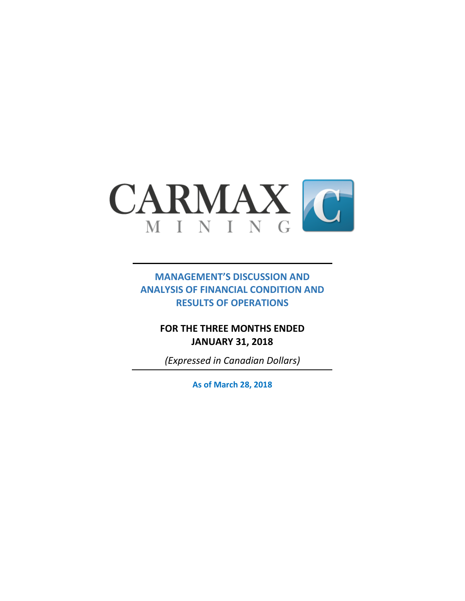

# **MANAGEMENT'S DISCUSSION AND ANALYSIS OF FINANCIAL CONDITION AND RESULTS OF OPERATIONS**

# **FOR THE THREE MONTHS ENDED JANUARY 31, 2018**

*(Expressed in Canadian Dollars)*

**As of March 28, 2018**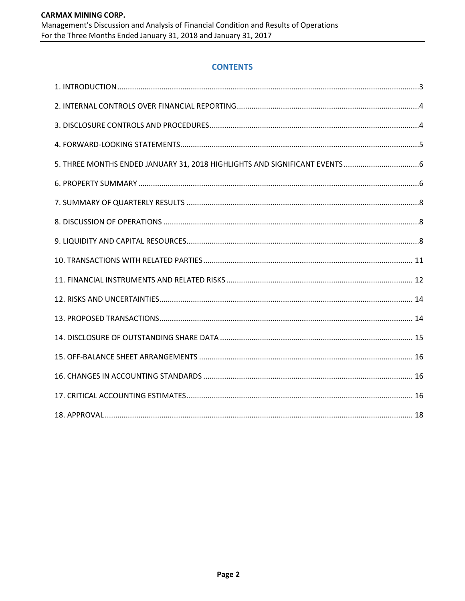### **CONTENTS**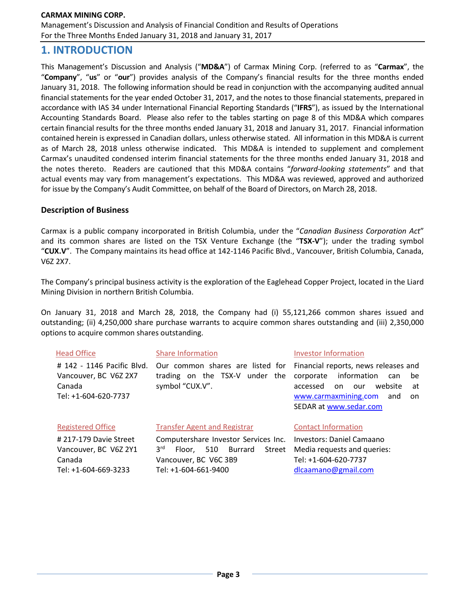Management's Discussion and Analysis of Financial Condition and Results of Operations For the Three Months Ended January 31, 2018 and January 31, 2017

# **1. INTRODUCTION**

This Management's Discussion and Analysis ("**MD&A**") of Carmax Mining Corp. (referred to as "**Carmax**", the "**Company**", "**us**" or "**our**") provides analysis of the Company's financial results for the three months ended January 31, 2018. The following information should be read in conjunction with the accompanying audited annual financial statements for the year ended October 31, 2017, and the notes to those financial statements, prepared in accordance with IAS 34 under International Financial Reporting Standards ("**IFRS**"), as issued by the International Accounting Standards Board. Please also refer to the tables starting on page 8 of this MD&A which compares certain financial results for the three months ended January 31, 2018 and January 31, 2017. Financial information contained herein is expressed in Canadian dollars, unless otherwise stated. All information in this MD&A is current as of March 28, 2018 unless otherwise indicated. This MD&A is intended to supplement and complement Carmax's unaudited condensed interim financial statements for the three months ended January 31, 2018 and the notes thereto. Readers are cautioned that this MD&A contains "*forward-looking statements*" and that actual events may vary from management's expectations. This MD&A was reviewed, approved and authorized for issue by the Company's Audit Committee, on behalf of the Board of Directors, on March 28, 2018.

### **Description of Business**

Carmax is a public company incorporated in British Columbia, under the "*Canadian Business Corporation Act*" and its common shares are listed on the TSX Venture Exchange (the "**TSX-V**"); under the trading symbol "**CUX.V**". The Company maintains its head office at 142-1146 Pacific Blvd., Vancouver, British Columbia, Canada, V6Z 2X7.

The Company's principal business activity is the exploration of the Eaglehead Copper Project, located in the Liard Mining Division in northern British Columbia.

On January 31, 2018 and March 28, 2018, the Company had (i) 55,121,266 common shares issued and outstanding; (ii) 4,250,000 share purchase warrants to acquire common shares outstanding and (iii) 2,350,000 options to acquire common shares outstanding.

| <b>Head Office</b>                                                                    | <b>Share Information</b>                                                                                                                    | Investor Information                                                                                                                                                                     |
|---------------------------------------------------------------------------------------|---------------------------------------------------------------------------------------------------------------------------------------------|------------------------------------------------------------------------------------------------------------------------------------------------------------------------------------------|
| # 142 - 1146 Pacific Blvd.<br>Vancouver, BC V6Z 2X7<br>Canada<br>Tel: +1-604-620-7737 | Our common shares are listed for<br>trading on the TSX-V under the<br>symbol "CUX.V".                                                       | Financial reports, news releases and<br>information<br>corporate<br>be<br>can<br>website<br>accessed<br>on.<br>our<br>at<br>www.carmaxmining.com<br>and<br>on.<br>SEDAR at www.sedar.com |
| <b>Registered Office</b>                                                              | <b>Transfer Agent and Registrar</b>                                                                                                         | <b>Contact Information</b>                                                                                                                                                               |
| #217-179 Davie Street<br>Vancouver, BC V6Z 2Y1<br>Canada<br>Tel: +1-604-669-3233      | Computershare Investor Services Inc.<br>3 <sup>rd</sup><br>510 Burrard<br>Street<br>Floor.<br>Vancouver, BC V6C 3B9<br>Tel: +1-604-661-9400 | Investors: Daniel Camaano<br>Media requests and queries:<br>Tel: +1-604-620-7737<br>dlcaamano@gmail.com                                                                                  |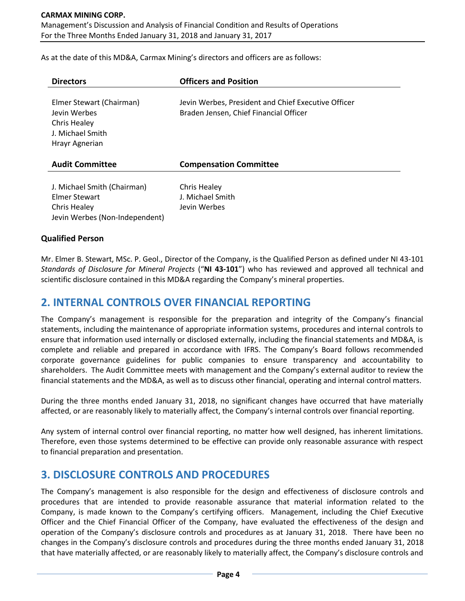Management's Discussion and Analysis of Financial Condition and Results of Operations For the Three Months Ended January 31, 2018 and January 31, 2017

As at the date of this MD&A, Carmax Mining's directors and officers are as follows:

| <b>Directors</b>                                                                                             | <b>Officers and Position</b>                                                                  |
|--------------------------------------------------------------------------------------------------------------|-----------------------------------------------------------------------------------------------|
| Elmer Stewart (Chairman)<br>Jevin Werbes<br><b>Chris Healey</b><br><b>J. Michael Smith</b><br>Hrayr Agnerian | Jevin Werbes, President and Chief Executive Officer<br>Braden Jensen, Chief Financial Officer |
| <b>Audit Committee</b>                                                                                       | <b>Compensation Committee</b>                                                                 |
| J. Michael Smith (Chairman)<br>Elmer Stewart<br>Chris Healey<br>Jevin Werbes (Non-Independent)               | Chris Healey<br>J. Michael Smith<br>Jevin Werbes                                              |

#### **Qualified Person**

Mr. Elmer B. Stewart, MSc. P. Geol., Director of the Company, is the Qualified Person as defined under NI 43-101 *Standards of Disclosure for Mineral Projects* ("**NI 43-101**") who has reviewed and approved all technical and scientific disclosure contained in this MD&A regarding the Company's mineral properties.

### **2. INTERNAL CONTROLS OVER FINANCIAL REPORTING**

The Company's management is responsible for the preparation and integrity of the Company's financial statements, including the maintenance of appropriate information systems, procedures and internal controls to ensure that information used internally or disclosed externally, including the financial statements and MD&A, is complete and reliable and prepared in accordance with IFRS. The Company's Board follows recommended corporate governance guidelines for public companies to ensure transparency and accountability to shareholders. The Audit Committee meets with management and the Company's external auditor to review the financial statements and the MD&A, as well as to discuss other financial, operating and internal control matters.

During the three months ended January 31, 2018, no significant changes have occurred that have materially affected, or are reasonably likely to materially affect, the Company's internal controls over financial reporting.

Any system of internal control over financial reporting, no matter how well designed, has inherent limitations. Therefore, even those systems determined to be effective can provide only reasonable assurance with respect to financial preparation and presentation.

# **3. DISCLOSURE CONTROLS AND PROCEDURES**

The Company's management is also responsible for the design and effectiveness of disclosure controls and procedures that are intended to provide reasonable assurance that material information related to the Company, is made known to the Company's certifying officers. Management, including the Chief Executive Officer and the Chief Financial Officer of the Company, have evaluated the effectiveness of the design and operation of the Company's disclosure controls and procedures as at January 31, 2018. There have been no changes in the Company's disclosure controls and procedures during the three months ended January 31, 2018 that have materially affected, or are reasonably likely to materially affect, the Company's disclosure controls and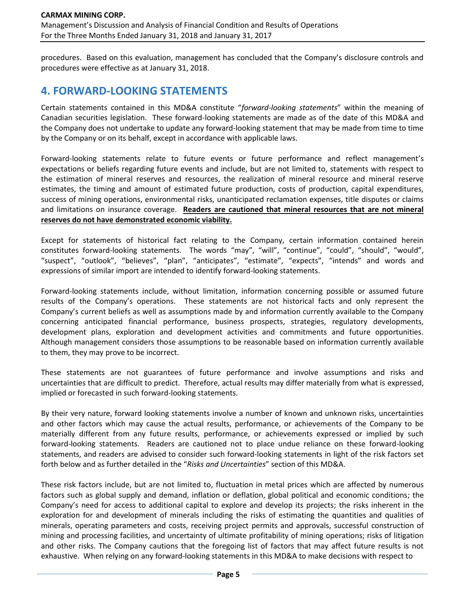procedures. Based on this evaluation, management has concluded that the Company's disclosure controls and procedures were effective as at January 31, 2018.

# **4. FORWARD-LOOKING STATEMENTS**

Certain statements contained in this MD&A constitute "*forward-looking statements*" within the meaning of Canadian securities legislation. These forward-looking statements are made as of the date of this MD&A and the Company does not undertake to update any forward-looking statement that may be made from time to time by the Company or on its behalf, except in accordance with applicable laws.

Forward-looking statements relate to future events or future performance and reflect management's expectations or beliefs regarding future events and include, but are not limited to, statements with respect to the estimation of mineral reserves and resources, the realization of mineral resource and mineral reserve estimates, the timing and amount of estimated future production, costs of production, capital expenditures, success of mining operations, environmental risks, unanticipated reclamation expenses, title disputes or claims and limitations on insurance coverage. **Readers are cautioned that mineral resources that are not mineral reserves do not have demonstrated economic viability.**

Except for statements of historical fact relating to the Company, certain information contained herein constitutes forward-looking statements. The words "may", "will", "continue", "could", "should", "would", "suspect", "outlook", "believes", "plan", "anticipates", "estimate", "expects", "intends" and words and expressions of similar import are intended to identify forward-looking statements.

Forward-looking statements include, without limitation, information concerning possible or assumed future results of the Company's operations. These statements are not historical facts and only represent the Company's current beliefs as well as assumptions made by and information currently available to the Company concerning anticipated financial performance, business prospects, strategies, regulatory developments, development plans, exploration and development activities and commitments and future opportunities. Although management considers those assumptions to be reasonable based on information currently available to them, they may prove to be incorrect.

These statements are not guarantees of future performance and involve assumptions and risks and uncertainties that are difficult to predict. Therefore, actual results may differ materially from what is expressed, implied or forecasted in such forward-looking statements.

By their very nature, forward looking statements involve a number of known and unknown risks, uncertainties and other factors which may cause the actual results, performance, or achievements of the Company to be materially different from any future results, performance, or achievements expressed or implied by such forward-looking statements. Readers are cautioned not to place undue reliance on these forward-looking statements, and readers are advised to consider such forward-looking statements in light of the risk factors set forth below and as further detailed in the "*Risks and Uncertainties*" section of this MD&A.

These risk factors include, but are not limited to, fluctuation in metal prices which are affected by numerous factors such as global supply and demand, inflation or deflation, global political and economic conditions; the Company's need for access to additional capital to explore and develop its projects; the risks inherent in the exploration for and development of minerals including the risks of estimating the quantities and qualities of minerals, operating parameters and costs, receiving project permits and approvals, successful construction of mining and processing facilities, and uncertainty of ultimate profitability of mining operations; risks of litigation and other risks. The Company cautions that the foregoing list of factors that may affect future results is not exhaustive. When relying on any forward-looking statements in this MD&A to make decisions with respect to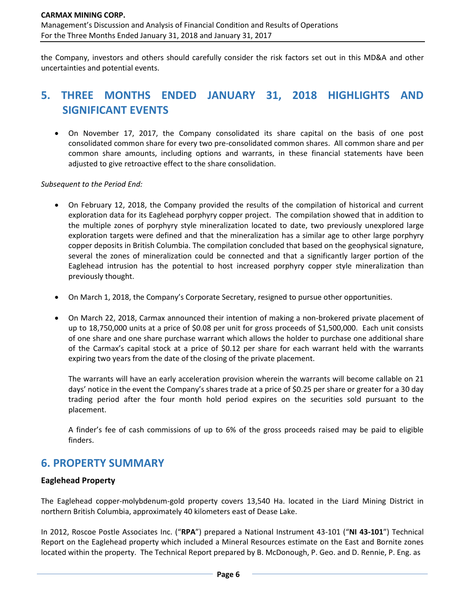the Company, investors and others should carefully consider the risk factors set out in this MD&A and other uncertainties and potential events.

# **5. THREE MONTHS ENDED JANUARY 31, 2018 HIGHLIGHTS AND SIGNIFICANT EVENTS**

• On November 17, 2017, the Company consolidated its share capital on the basis of one post consolidated common share for every two pre-consolidated common shares. All common share and per common share amounts, including options and warrants, in these financial statements have been adjusted to give retroactive effect to the share consolidation.

*Subsequent to the Period End:*

- On February 12, 2018, the Company provided the results of the compilation of historical and current exploration data for its Eaglehead porphyry copper project. The compilation showed that in addition to the multiple zones of porphyry style mineralization located to date, two previously unexplored large exploration targets were defined and that the mineralization has a similar age to other large porphyry copper deposits in British Columbia. The compilation concluded that based on the geophysical signature, several the zones of mineralization could be connected and that a significantly larger portion of the Eaglehead intrusion has the potential to host increased porphyry copper style mineralization than previously thought.
- On March 1, 2018, the Company's Corporate Secretary, resigned to pursue other opportunities.
- On March 22, 2018, Carmax announced their intention of making a non-brokered private placement of up to 18,750,000 units at a price of \$0.08 per unit for gross proceeds of \$1,500,000. Each unit consists of one share and one share purchase warrant which allows the holder to purchase one additional share of the Carmax's capital stock at a price of \$0.12 per share for each warrant held with the warrants expiring two years from the date of the closing of the private placement.

The warrants will have an early acceleration provision wherein the warrants will become callable on 21 days' notice in the event the Company's shares trade at a price of \$0.25 per share or greater for a 30 day trading period after the four month hold period expires on the securities sold pursuant to the placement.

A finder's fee of cash commissions of up to 6% of the gross proceeds raised may be paid to eligible finders.

# **6. PROPERTY SUMMARY**

### **Eaglehead Property**

The Eaglehead copper-molybdenum-gold property covers 13,540 Ha. located in the Liard Mining District in northern British Columbia, approximately 40 kilometers east of Dease Lake.

In 2012, Roscoe Postle Associates Inc. ("**RPA**") prepared a National Instrument 43-101 ("**NI 43-101**") Technical Report on the Eaglehead property which included a Mineral Resources estimate on the East and Bornite zones located within the property. The Technical Report prepared by B. McDonough, P. Geo. and D. Rennie, P. Eng. as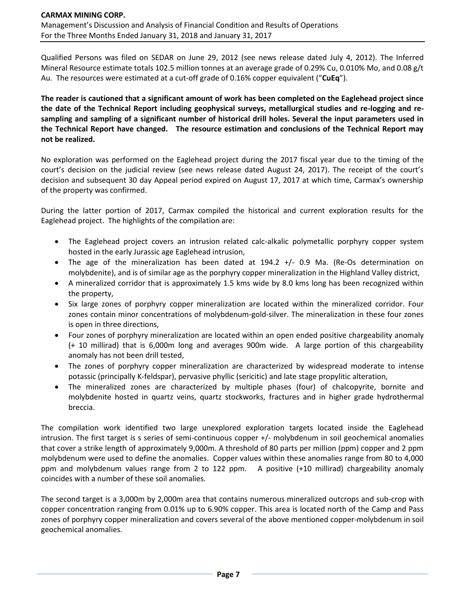Qualified Persons was filed on SEDAR on June 29, 2012 (see news release dated July 4, 2012). The Inferred Mineral Resource estimate totals 102.5 million tonnes at an average grade of 0.29% Cu, 0.010% Mo, and 0.08 g/t Au. The resources were estimated at a cut-off grade of 0.16% copper equivalent ("**CuEq**").

**The reader is cautioned that a significant amount of work has been completed on the Eaglehead project since the date of the Technical Report including geophysical surveys, metallurgical studies and re-logging and resampling and sampling of a significant number of historical drill holes. Several the input parameters used in the Technical Report have changed. The resource estimation and conclusions of the Technical Report may not be realized.** 

No exploration was performed on the Eaglehead project during the 2017 fiscal year due to the timing of the court's decision on the judicial review (see news release dated August 24, 2017). The receipt of the court's decision and subsequent 30 day Appeal period expired on August 17, 2017 at which time, Carmax's ownership of the property was confirmed.

During the latter portion of 2017, Carmax compiled the historical and current exploration results for the Eaglehead project. The highlights of the compilation are:

- The Eaglehead project covers an intrusion related calc-alkalic polymetallic porphyry copper system hosted in the early Jurassic age Eaglehead intrusion,
- The age of the mineralization has been dated at 194.2 +/- 0.9 Ma. (Re-Os determination on molybdenite), and is of similar age as the porphyry copper mineralization in the Highland Valley district,
- A mineralized corridor that is approximately 1.5 kms wide by 8.0 kms long has been recognized within the property,
- Six large zones of porphyry copper mineralization are located within the mineralized corridor. Four zones contain minor concentrations of molybdenum-gold-silver. The mineralization in these four zones is open in three directions,
- Four zones of porphyry mineralization are located within an open ended positive chargeability anomaly (+ 10 millirad) that is 6,000m long and averages 900m wide. A large portion of this chargeability anomaly has not been drill tested,
- The zones of porphyry copper mineralization are characterized by widespread moderate to intense potassic (principally K-feldspar), pervasive phyllic (sericitic) and late stage propylitic alteration,
- The mineralized zones are characterized by multiple phases (four) of chalcopyrite, bornite and molybdenite hosted in quartz veins, quartz stockworks, fractures and in higher grade hydrothermal breccia.

The compilation work identified two large unexplored exploration targets located inside the Eaglehead intrusion. The first target is s series of semi-continuous copper +/- molybdenum in soil geochemical anomalies that cover a strike length of approximately 9,000m. A threshold of 80 parts per million (ppm) copper and 2 ppm molybdenum were used to define the anomalies. Copper values within these anomalies range from 80 to 4,000 ppm and molybdenum values range from 2 to 122 ppm. A positive (+10 millirad) chargeability anomaly coincides with a number of these soil anomalies.

The second target is a 3,000m by 2,000m area that contains numerous mineralized outcrops and sub-crop with copper concentration ranging from 0.01% up to 6.90% copper. This area is located north of the Camp and Pass zones of porphyry copper mineralization and covers several of the above mentioned copper-molybdenum in soil geochemical anomalies.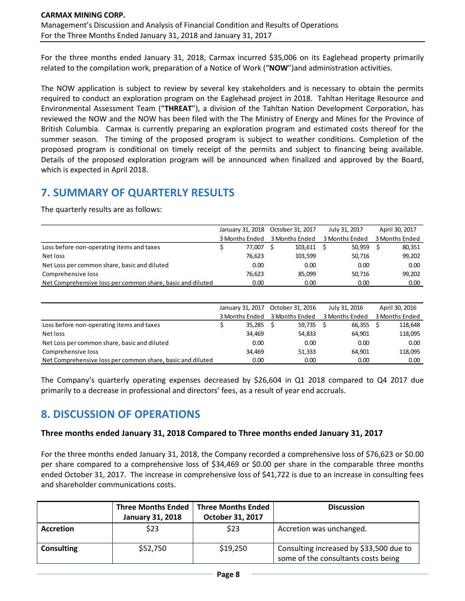For the three months ended January 31, 2018, Carmax incurred \$35,006 on its Eaglehead property primarily related to the compilation work, preparation of a Notice of Work ("**NOW**")and administration activities.

The NOW application is subject to review by several key stakeholders and is necessary to obtain the permits required to conduct an exploration program on the Eaglehead project in 2018. Tahltan Heritage Resource and Environmental Assessment Team ("**THREAT**"), a division of the Tahltan Nation Development Corporation, has reviewed the NOW and the NOW has been filed with the The Ministry of Energy and Mines for the Province of British Columbia. Carmax is currently preparing an exploration program and estimated costs thereof for the summer season. The timing of the proposed program is subject to weather conditions. Completion of the proposed program is conditional on timely receipt of the permits and subject to financing being available. Details of the proposed exploration program will be announced when finalized and approved by the Board, which is expected in April 2018.

# **7. SUMMARY OF QUARTERLY RESULTS**

The quarterly results are as follows:

|                                                            |                | January 31, 2018 October 31, 2017 | July 31, 2017  | April 30, 2017 |
|------------------------------------------------------------|----------------|-----------------------------------|----------------|----------------|
|                                                            | 3 Months Ended | 3 Months Ended                    | 3 Months Ended | 3 Months Ended |
| Loss before non-operating items and taxes                  | 77.007         | 103.611                           | 50.959         | 80,351         |
| Net loss                                                   | 76.623         | 103.599                           | 50,716         | 99.202         |
| Net Loss per common share, basic and diluted               | 0.00           | 0.00                              | 0.00           | 0.00           |
| Comprehensive loss                                         | 76.623         | 85.099                            | 50,716         | 99.202         |
| Net Comprehensive loss per common share, basic and diluted | 0.00           | 0.00                              | 0.00           | 0.00           |

|                                                            | January 31, 2017 | October 31, 2016 |        | July 31, 2016  | April 30, 2016 |
|------------------------------------------------------------|------------------|------------------|--------|----------------|----------------|
|                                                            | 3 Months Ended   | 3 Months Ended   |        | 3 Months Ended | 3 Months Ended |
| Loss before non-operating items and taxes                  | 35,285           |                  | 59,735 | $66,355$ \$    | 118,648        |
| Net loss                                                   | 34,469           |                  | 54,833 | 64.901         | 118,095        |
| Net Loss per common share, basic and diluted               | 0.00             |                  | 0.00   | 0.00           | 0.00           |
| Comprehensive loss                                         | 34,469           |                  | 51,333 | 64.901         | 118,095        |
| Net Comprehensive loss per common share, basic and diluted | 0.00             |                  | 0.00   | 0.00           | 0.00           |

The Company's quarterly operating expenses decreased by \$26,604 in Q1 2018 compared to Q4 2017 due primarily to a decrease in professional and directors' fees, as a result of year end accruals.

# **8. DISCUSSION OF OPERATIONS**

### **Three months ended January 31, 2018 Compared to Three months ended January 31, 2017**

For the three months ended January 31, 2018, the Company recorded a comprehensive loss of \$76,623 or \$0.00 per share compared to a comprehensive loss of \$34,469 or \$0.00 per share in the comparable three months ended October 31, 2017. The increase in comprehensive loss of \$41,722 is due to an increase in consulting fees and shareholder communications costs.

|                   | <b>Three Months Ended</b> | Three Months Ended | <b>Discussion</b>                                                              |
|-------------------|---------------------------|--------------------|--------------------------------------------------------------------------------|
|                   | <b>January 31, 2018</b>   | October 31, 2017   |                                                                                |
| <b>Accretion</b>  | \$23                      | \$23               | Accretion was unchanged.                                                       |
| <b>Consulting</b> | \$52,750                  | \$19,250           | Consulting increased by \$33,500 due to<br>some of the consultants costs being |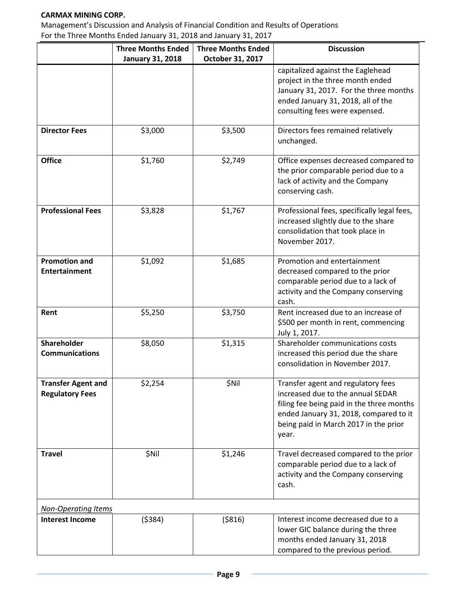Management's Discussion and Analysis of Financial Condition and Results of Operations For the Three Months Ended January 31, 2018 and January 31, 2017

|                                                     | <b>Three Months Ended</b> | <b>Three Months Ended</b> | <b>Discussion</b>                                                                                                                                                                                                |
|-----------------------------------------------------|---------------------------|---------------------------|------------------------------------------------------------------------------------------------------------------------------------------------------------------------------------------------------------------|
|                                                     | <b>January 31, 2018</b>   | October 31, 2017          |                                                                                                                                                                                                                  |
|                                                     |                           |                           | capitalized against the Eaglehead<br>project in the three month ended<br>January 31, 2017. For the three months<br>ended January 31, 2018, all of the<br>consulting fees were expensed.                          |
|                                                     |                           |                           |                                                                                                                                                                                                                  |
| <b>Director Fees</b>                                | \$3,000                   | \$3,500                   | Directors fees remained relatively<br>unchanged.                                                                                                                                                                 |
| <b>Office</b>                                       | \$1,760                   | \$2,749                   | Office expenses decreased compared to<br>the prior comparable period due to a<br>lack of activity and the Company<br>conserving cash.                                                                            |
| <b>Professional Fees</b>                            | \$3,828                   | \$1,767                   | Professional fees, specifically legal fees,<br>increased slightly due to the share<br>consolidation that took place in<br>November 2017.                                                                         |
| <b>Promotion and</b><br><b>Entertainment</b>        | \$1,092                   | \$1,685                   | Promotion and entertainment<br>decreased compared to the prior<br>comparable period due to a lack of<br>activity and the Company conserving<br>cash.                                                             |
| Rent                                                | \$5,250                   | \$3,750                   | Rent increased due to an increase of<br>\$500 per month in rent, commencing<br>July 1, 2017.                                                                                                                     |
| Shareholder<br><b>Communications</b>                | \$8,050                   | \$1,315                   | Shareholder communications costs<br>increased this period due the share<br>consolidation in November 2017.                                                                                                       |
| <b>Transfer Agent and</b><br><b>Regulatory Fees</b> | \$2,254                   | \$Nil                     | Transfer agent and regulatory fees<br>increased due to the annual SEDAR<br>filing fee being paid in the three months<br>ended January 31, 2018, compared to it<br>being paid in March 2017 in the prior<br>year. |
| <b>Travel</b>                                       | \$Nil                     | \$1,246                   | Travel decreased compared to the prior<br>comparable period due to a lack of<br>activity and the Company conserving<br>cash.                                                                                     |
| <b>Non-Operating Items</b>                          |                           |                           |                                                                                                                                                                                                                  |
| <b>Interest Income</b>                              | ( \$384)                  | ( \$816)                  | Interest income decreased due to a<br>lower GIC balance during the three<br>months ended January 31, 2018<br>compared to the previous period.                                                                    |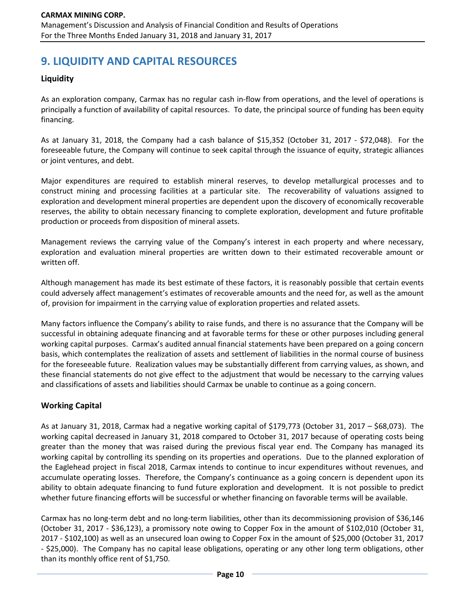# **9. LIQUIDITY AND CAPITAL RESOURCES**

### **Liquidity**

As an exploration company, Carmax has no regular cash in-flow from operations, and the level of operations is principally a function of availability of capital resources. To date, the principal source of funding has been equity financing.

As at January 31, 2018, the Company had a cash balance of \$15,352 (October 31, 2017 - \$72,048). For the foreseeable future, the Company will continue to seek capital through the issuance of equity, strategic alliances or joint ventures, and debt.

Major expenditures are required to establish mineral reserves, to develop metallurgical processes and to construct mining and processing facilities at a particular site. The recoverability of valuations assigned to exploration and development mineral properties are dependent upon the discovery of economically recoverable reserves, the ability to obtain necessary financing to complete exploration, development and future profitable production or proceeds from disposition of mineral assets.

Management reviews the carrying value of the Company's interest in each property and where necessary, exploration and evaluation mineral properties are written down to their estimated recoverable amount or written off.

Although management has made its best estimate of these factors, it is reasonably possible that certain events could adversely affect management's estimates of recoverable amounts and the need for, as well as the amount of, provision for impairment in the carrying value of exploration properties and related assets.

Many factors influence the Company's ability to raise funds, and there is no assurance that the Company will be successful in obtaining adequate financing and at favorable terms for these or other purposes including general working capital purposes. Carmax's audited annual financial statements have been prepared on a going concern basis, which contemplates the realization of assets and settlement of liabilities in the normal course of business for the foreseeable future. Realization values may be substantially different from carrying values, as shown, and these financial statements do not give effect to the adjustment that would be necessary to the carrying values and classifications of assets and liabilities should Carmax be unable to continue as a going concern.

### **Working Capital**

As at January 31, 2018, Carmax had a negative working capital of \$179,773 (October 31, 2017 – \$68,073). The working capital decreased in January 31, 2018 compared to October 31, 2017 because of operating costs being greater than the money that was raised during the previous fiscal year end. The Company has managed its working capital by controlling its spending on its properties and operations. Due to the planned exploration of the Eaglehead project in fiscal 2018, Carmax intends to continue to incur expenditures without revenues, and accumulate operating losses. Therefore, the Company's continuance as a going concern is dependent upon its ability to obtain adequate financing to fund future exploration and development. It is not possible to predict whether future financing efforts will be successful or whether financing on favorable terms will be available.

Carmax has no long-term debt and no long-term liabilities, other than its decommissioning provision of \$36,146 (October 31, 2017 - \$36,123), a promissory note owing to Copper Fox in the amount of \$102,010 (October 31, 2017 - \$102,100) as well as an unsecured loan owing to Copper Fox in the amount of \$25,000 (October 31, 2017 - \$25,000). The Company has no capital lease obligations, operating or any other long term obligations, other than its monthly office rent of \$1,750.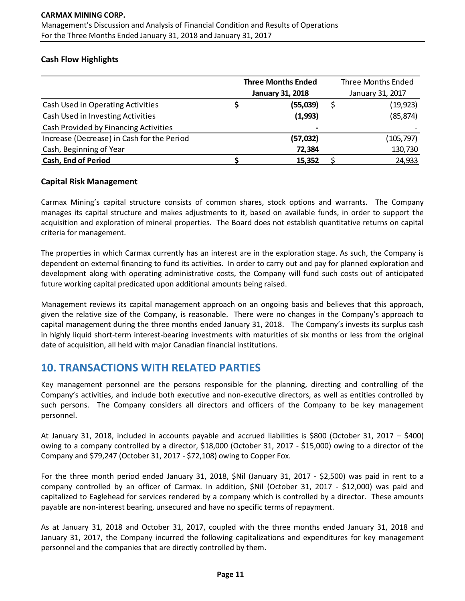### **Cash Flow Highlights**

|                                            | <b>Three Months Ended</b> | <b>Three Months Ended</b> |
|--------------------------------------------|---------------------------|---------------------------|
|                                            | <b>January 31, 2018</b>   | January 31, 2017          |
| Cash Used in Operating Activities          | (55,039)                  | (19, 923)                 |
| Cash Used in Investing Activities          | (1,993)                   | (85, 874)                 |
| Cash Provided by Financing Activities      | $\overline{\phantom{0}}$  |                           |
| Increase (Decrease) in Cash for the Period | (57, 032)                 | (105, 797)                |
| Cash, Beginning of Year                    | 72,384                    | 130,730                   |
| <b>Cash, End of Period</b>                 | 15,352                    | 24,933                    |

### **Capital Risk Management**

Carmax Mining's capital structure consists of common shares, stock options and warrants. The Company manages its capital structure and makes adjustments to it, based on available funds, in order to support the acquisition and exploration of mineral properties. The Board does not establish quantitative returns on capital criteria for management.

The properties in which Carmax currently has an interest are in the exploration stage. As such, the Company is dependent on external financing to fund its activities. In order to carry out and pay for planned exploration and development along with operating administrative costs, the Company will fund such costs out of anticipated future working capital predicated upon additional amounts being raised.

Management reviews its capital management approach on an ongoing basis and believes that this approach, given the relative size of the Company, is reasonable. There were no changes in the Company's approach to capital management during the three months ended January 31, 2018. The Company's invests its surplus cash in highly liquid short-term interest-bearing investments with maturities of six months or less from the original date of acquisition, all held with major Canadian financial institutions.

# **10. TRANSACTIONS WITH RELATED PARTIES**

Key management personnel are the persons responsible for the planning, directing and controlling of the Company's activities, and include both executive and non-executive directors, as well as entities controlled by such persons. The Company considers all directors and officers of the Company to be key management personnel.

At January 31, 2018, included in accounts payable and accrued liabilities is \$800 (October 31, 2017 – \$400) owing to a company controlled by a director, \$18,000 (October 31, 2017 - \$15,000) owing to a director of the Company and \$79,247 (October 31, 2017 - \$72,108) owing to Copper Fox.

For the three month period ended January 31, 2018, \$Nil (January 31, 2017 - \$2,500) was paid in rent to a company controlled by an officer of Carmax. In addition, \$Nil (October 31, 2017 - \$12,000) was paid and capitalized to Eaglehead for services rendered by a company which is controlled by a director. These amounts payable are non-interest bearing, unsecured and have no specific terms of repayment.

As at January 31, 2018 and October 31, 2017, coupled with the three months ended January 31, 2018 and January 31, 2017, the Company incurred the following capitalizations and expenditures for key management personnel and the companies that are directly controlled by them.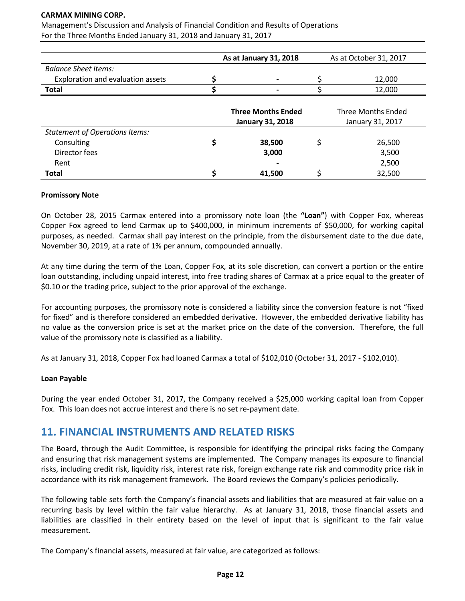Management's Discussion and Analysis of Financial Condition and Results of Operations For the Three Months Ended January 31, 2018 and January 31, 2017

|                                       | As at January 31, 2018    | As at October 31, 2017    |
|---------------------------------------|---------------------------|---------------------------|
| <b>Balance Sheet Items:</b>           |                           |                           |
| Exploration and evaluation assets     |                           | 12,000                    |
| <b>Total</b>                          |                           | 12,000                    |
|                                       |                           |                           |
|                                       | <b>Three Months Ended</b> | <b>Three Months Ended</b> |
|                                       | <b>January 31, 2018</b>   | January 31, 2017          |
| <b>Statement of Operations Items:</b> |                           |                           |
| Consulting                            | 38,500                    | 26,500                    |
| Director fees                         | 3,000                     | 3,500                     |
| Rent                                  |                           | 2,500                     |
| <b>Total</b>                          | 41,500                    | 32,500                    |

#### **Promissory Note**

On October 28, 2015 Carmax entered into a promissory note loan (the **"Loan"**) with Copper Fox, whereas Copper Fox agreed to lend Carmax up to \$400,000, in minimum increments of \$50,000, for working capital purposes, as needed. Carmax shall pay interest on the principle, from the disbursement date to the due date, November 30, 2019, at a rate of 1% per annum, compounded annually.

At any time during the term of the Loan, Copper Fox, at its sole discretion, can convert a portion or the entire loan outstanding, including unpaid interest, into free trading shares of Carmax at a price equal to the greater of \$0.10 or the trading price, subject to the prior approval of the exchange.

For accounting purposes, the promissory note is considered a liability since the conversion feature is not "fixed for fixed" and is therefore considered an embedded derivative. However, the embedded derivative liability has no value as the conversion price is set at the market price on the date of the conversion. Therefore, the full value of the promissory note is classified as a liability.

As at January 31, 2018, Copper Fox had loaned Carmax a total of \$102,010 (October 31, 2017 - \$102,010).

#### **Loan Payable**

During the year ended October 31, 2017, the Company received a \$25,000 working capital loan from Copper Fox. This loan does not accrue interest and there is no set re-payment date.

### **11. FINANCIAL INSTRUMENTS AND RELATED RISKS**

The Board, through the Audit Committee, is responsible for identifying the principal risks facing the Company and ensuring that risk management systems are implemented. The Company manages its exposure to financial risks, including credit risk, liquidity risk, interest rate risk, foreign exchange rate risk and commodity price risk in accordance with its risk management framework. The Board reviews the Company's policies periodically.

The following table sets forth the Company's financial assets and liabilities that are measured at fair value on a recurring basis by level within the fair value hierarchy. As at January 31, 2018, those financial assets and liabilities are classified in their entirety based on the level of input that is significant to the fair value measurement.

The Company's financial assets, measured at fair value, are categorized as follows: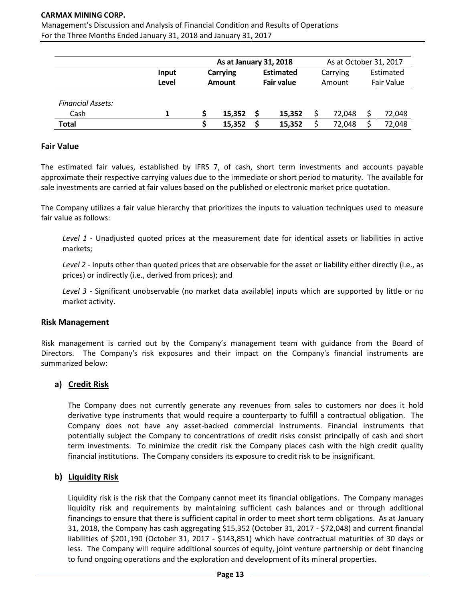Management's Discussion and Analysis of Financial Condition and Results of Operations For the Three Months Ended January 31, 2018 and January 31, 2017

|                          |       | As at January 31, 2018 |        |                  |        | As at October 31, 2017 |        |            |        |
|--------------------------|-------|------------------------|--------|------------------|--------|------------------------|--------|------------|--------|
|                          | Input | <b>Carrying</b>        |        | <b>Estimated</b> |        | Carrying               |        | Estimated  |        |
|                          | Level | <b>Amount</b>          |        | Fair value       |        | Amount                 |        | Fair Value |        |
| <b>Financial Assets:</b> |       |                        |        |                  |        |                        |        |            |        |
| Cash                     |       |                        | 15.352 |                  | 15.352 |                        | 72.048 |            | 72,048 |
| <b>Total</b>             |       |                        | 15,352 |                  | 15,352 |                        | 72,048 |            | 72,048 |

#### **Fair Value**

The estimated fair values, established by IFRS 7, of cash, short term investments and accounts payable approximate their respective carrying values due to the immediate or short period to maturity. The available for sale investments are carried at fair values based on the published or electronic market price quotation.

The Company utilizes a fair value hierarchy that prioritizes the inputs to valuation techniques used to measure fair value as follows:

*Level 1* - Unadjusted quoted prices at the measurement date for identical assets or liabilities in active markets;

*Level 2* - Inputs other than quoted prices that are observable for the asset or liability either directly (i.e., as prices) or indirectly (i.e., derived from prices); and

*Level 3* - Significant unobservable (no market data available) inputs which are supported by little or no market activity.

#### **Risk Management**

Risk management is carried out by the Company's management team with guidance from the Board of Directors. The Company's risk exposures and their impact on the Company's financial instruments are summarized below:

#### **a) Credit Risk**

The Company does not currently generate any revenues from sales to customers nor does it hold derivative type instruments that would require a counterparty to fulfill a contractual obligation. The Company does not have any asset-backed commercial instruments. Financial instruments that potentially subject the Company to concentrations of credit risks consist principally of cash and short term investments. To minimize the credit risk the Company places cash with the high credit quality financial institutions. The Company considers its exposure to credit risk to be insignificant.

#### **b) Liquidity Risk**

Liquidity risk is the risk that the Company cannot meet its financial obligations. The Company manages liquidity risk and requirements by maintaining sufficient cash balances and or through additional financings to ensure that there is sufficient capital in order to meet short term obligations. As at January 31, 2018, the Company has cash aggregating \$15,352 (October 31, 2017 - \$72,048) and current financial liabilities of \$201,190 (October 31, 2017 - \$143,851) which have contractual maturities of 30 days or less. The Company will require additional sources of equity, joint venture partnership or debt financing to fund ongoing operations and the exploration and development of its mineral properties.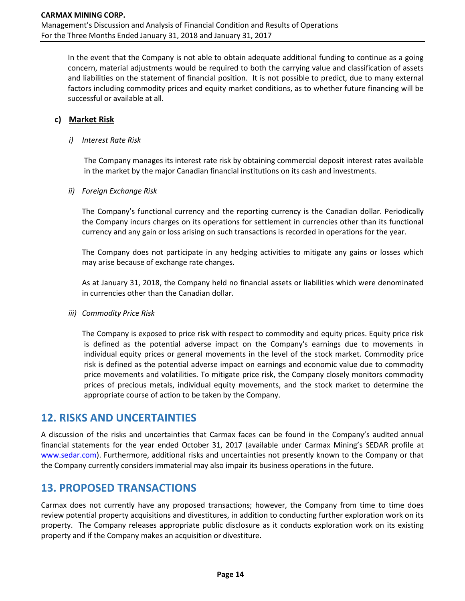In the event that the Company is not able to obtain adequate additional funding to continue as a going concern, material adjustments would be required to both the carrying value and classification of assets and liabilities on the statement of financial position. It is not possible to predict, due to many external factors including commodity prices and equity market conditions, as to whether future financing will be successful or available at all.

### **c) Market Risk**

#### *i) Interest Rate Risk*

The Company manages its interest rate risk by obtaining commercial deposit interest rates available in the market by the major Canadian financial institutions on its cash and investments.

#### *ii) Foreign Exchange Risk*

The Company's functional currency and the reporting currency is the Canadian dollar. Periodically the Company incurs charges on its operations for settlement in currencies other than its functional currency and any gain or loss arising on such transactions is recorded in operations for the year.

The Company does not participate in any hedging activities to mitigate any gains or losses which may arise because of exchange rate changes.

As at January 31, 2018, the Company held no financial assets or liabilities which were denominated in currencies other than the Canadian dollar.

#### *iii) Commodity Price Risk*

The Company is exposed to price risk with respect to commodity and equity prices. Equity price risk is defined as the potential adverse impact on the Company's earnings due to movements in individual equity prices or general movements in the level of the stock market. Commodity price risk is defined as the potential adverse impact on earnings and economic value due to commodity price movements and volatilities. To mitigate price risk, the Company closely monitors commodity prices of precious metals, individual equity movements, and the stock market to determine the appropriate course of action to be taken by the Company.

# **12. RISKS AND UNCERTAINTIES**

A discussion of the risks and uncertainties that Carmax faces can be found in the Company's audited annual financial statements for the year ended October 31, 2017 (available under Carmax Mining's SEDAR profile at [www.sedar.com\)](http://www.sedar.com/). Furthermore, additional risks and uncertainties not presently known to the Company or that the Company currently considers immaterial may also impair its business operations in the future.

# **13. PROPOSED TRANSACTIONS**

Carmax does not currently have any proposed transactions; however, the Company from time to time does review potential property acquisitions and divestitures, in addition to conducting further exploration work on its property. The Company releases appropriate public disclosure as it conducts exploration work on its existing property and if the Company makes an acquisition or divestiture.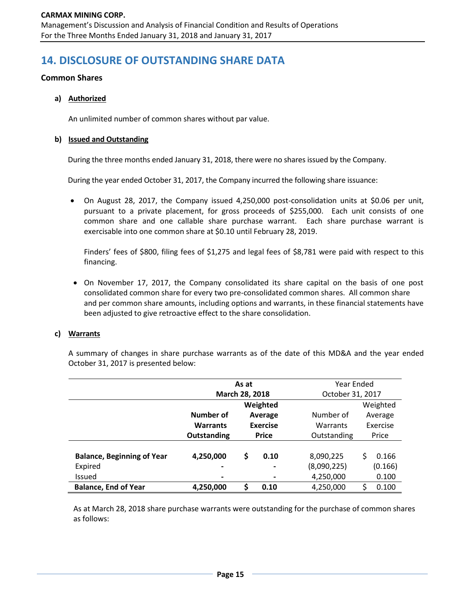# **14. DISCLOSURE OF OUTSTANDING SHARE DATA**

#### **Common Shares**

#### **a) Authorized**

An unlimited number of common shares without par value.

#### **b) Issued and Outstanding**

During the three months ended January 31, 2018, there were no shares issued by the Company.

During the year ended October 31, 2017, the Company incurred the following share issuance:

• On August 28, 2017, the Company issued 4,250,000 post-consolidation units at \$0.06 per unit, pursuant to a private placement, for gross proceeds of \$255,000. Each unit consists of one common share and one callable share purchase warrant. Each share purchase warrant is exercisable into one common share at \$0.10 until February 28, 2019.

Finders' fees of \$800, filing fees of \$1,275 and legal fees of \$8,781 were paid with respect to this financing.

• On November 17, 2017, the Company consolidated its share capital on the basis of one post consolidated common share for every two pre-consolidated common shares. All common share and per common share amounts, including options and warrants, in these financial statements have been adjusted to give retroactive effect to the share consolidation.

#### **c) Warrants**

A summary of changes in share purchase warrants as of the date of this MD&A and the year ended October 31, 2017 is presented below:

|                                   | As at           |              |                 |                  | Year Ended |          |  |
|-----------------------------------|-----------------|--------------|-----------------|------------------|------------|----------|--|
|                                   | March 28, 2018  |              |                 | October 31, 2017 |            |          |  |
|                                   | Weighted        |              |                 |                  | Weighted   |          |  |
|                                   | Number of       |              | Average         | Number of        |            | Average  |  |
|                                   | <b>Warrants</b> |              | <b>Exercise</b> | Warrants         |            | Exercise |  |
|                                   | Outstanding     | <b>Price</b> |                 | Outstanding      | Price      |          |  |
|                                   |                 |              |                 |                  |            |          |  |
| <b>Balance, Beginning of Year</b> | 4,250,000       | \$           | 0.10            | 8,090,225        | \$         | 0.166    |  |
| Expired                           | $\blacksquare$  |              | -               | (8,090,225)      |            | (0.166)  |  |
| Issued                            |                 |              |                 | 4,250,000        |            | 0.100    |  |
| <b>Balance, End of Year</b>       | 4,250,000       | S            | 0.10            | 4,250,000        | \$         | 0.100    |  |

As at March 28, 2018 share purchase warrants were outstanding for the purchase of common shares as follows: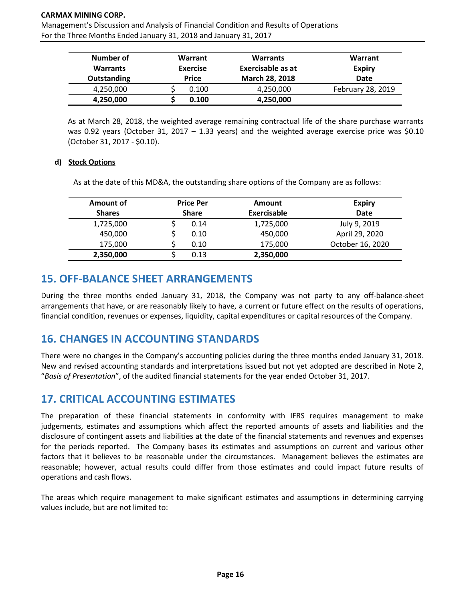Management's Discussion and Analysis of Financial Condition and Results of Operations For the Three Months Ended January 31, 2018 and January 31, 2017

| Number of<br><b>Warrants</b><br>Outstanding | Warrant<br><b>Exercise</b><br><b>Price</b> | <b>Warrants</b><br>Exercisable as at<br>March 28, 2018 | Warrant<br><b>Expiry</b><br>Date |
|---------------------------------------------|--------------------------------------------|--------------------------------------------------------|----------------------------------|
| 4,250,000                                   | 0.100                                      | 4,250,000                                              | February 28, 2019                |
| 4,250,000                                   | 0.100                                      | 4,250,000                                              |                                  |

As at March 28, 2018, the weighted average remaining contractual life of the share purchase warrants was 0.92 years (October 31, 2017 – 1.33 years) and the weighted average exercise price was \$0.10 (October 31, 2017 - \$0.10).

#### **d) Stock Options**

As at the date of this MD&A, the outstanding share options of the Company are as follows:

| Amount of     | <b>Price Per</b> |      | Amount      | <b>Expiry</b>    |
|---------------|------------------|------|-------------|------------------|
| <b>Shares</b> | <b>Share</b>     |      | Exercisable | Date             |
| 1,725,000     |                  | 0.14 | 1,725,000   | July 9, 2019     |
| 450,000       |                  | 0.10 | 450,000     | April 29, 2020   |
| 175,000       |                  | 0.10 | 175,000     | October 16, 2020 |
| 2,350,000     |                  | 0.13 | 2,350,000   |                  |

# **15. OFF-BALANCE SHEET ARRANGEMENTS**

During the three months ended January 31, 2018, the Company was not party to any off-balance-sheet arrangements that have, or are reasonably likely to have, a current or future effect on the results of operations, financial condition, revenues or expenses, liquidity, capital expenditures or capital resources of the Company.

# **16. CHANGES IN ACCOUNTING STANDARDS**

There were no changes in the Company's accounting policies during the three months ended January 31, 2018. New and revised accounting standards and interpretations issued but not yet adopted are described in Note 2, "*Basis of Presentation*", of the audited financial statements for the year ended October 31, 2017.

# **17. CRITICAL ACCOUNTING ESTIMATES**

The preparation of these financial statements in conformity with IFRS requires management to make judgements, estimates and assumptions which affect the reported amounts of assets and liabilities and the disclosure of contingent assets and liabilities at the date of the financial statements and revenues and expenses for the periods reported. The Company bases its estimates and assumptions on current and various other factors that it believes to be reasonable under the circumstances. Management believes the estimates are reasonable; however, actual results could differ from those estimates and could impact future results of operations and cash flows.

The areas which require management to make significant estimates and assumptions in determining carrying values include, but are not limited to: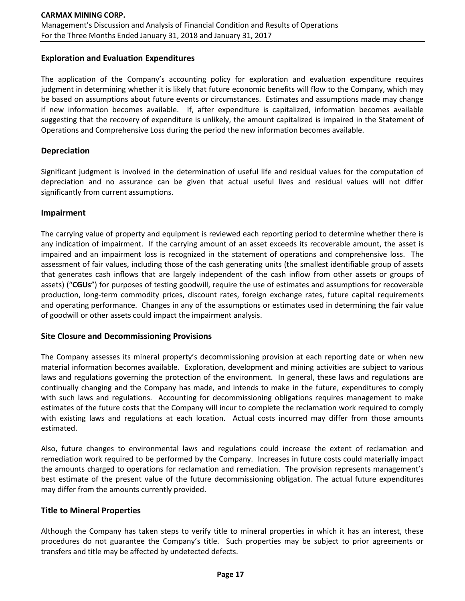#### **Exploration and Evaluation Expenditures**

The application of the Company's accounting policy for exploration and evaluation expenditure requires judgment in determining whether it is likely that future economic benefits will flow to the Company, which may be based on assumptions about future events or circumstances. Estimates and assumptions made may change if new information becomes available. If, after expenditure is capitalized, information becomes available suggesting that the recovery of expenditure is unlikely, the amount capitalized is impaired in the Statement of Operations and Comprehensive Loss during the period the new information becomes available.

#### **Depreciation**

Significant judgment is involved in the determination of useful life and residual values for the computation of depreciation and no assurance can be given that actual useful lives and residual values will not differ significantly from current assumptions.

#### **Impairment**

The carrying value of property and equipment is reviewed each reporting period to determine whether there is any indication of impairment. If the carrying amount of an asset exceeds its recoverable amount, the asset is impaired and an impairment loss is recognized in the statement of operations and comprehensive loss. The assessment of fair values, including those of the cash generating units (the smallest identifiable group of assets that generates cash inflows that are largely independent of the cash inflow from other assets or groups of assets) ("**CGUs**") for purposes of testing goodwill, require the use of estimates and assumptions for recoverable production, long-term commodity prices, discount rates, foreign exchange rates, future capital requirements and operating performance. Changes in any of the assumptions or estimates used in determining the fair value of goodwill or other assets could impact the impairment analysis.

#### **Site Closure and Decommissioning Provisions**

The Company assesses its mineral property's decommissioning provision at each reporting date or when new material information becomes available. Exploration, development and mining activities are subject to various laws and regulations governing the protection of the environment. In general, these laws and regulations are continually changing and the Company has made, and intends to make in the future, expenditures to comply with such laws and regulations. Accounting for decommissioning obligations requires management to make estimates of the future costs that the Company will incur to complete the reclamation work required to comply with existing laws and regulations at each location. Actual costs incurred may differ from those amounts estimated.

Also, future changes to environmental laws and regulations could increase the extent of reclamation and remediation work required to be performed by the Company. Increases in future costs could materially impact the amounts charged to operations for reclamation and remediation. The provision represents management's best estimate of the present value of the future decommissioning obligation. The actual future expenditures may differ from the amounts currently provided.

#### **Title to Mineral Properties**

Although the Company has taken steps to verify title to mineral properties in which it has an interest, these procedures do not guarantee the Company's title. Such properties may be subject to prior agreements or transfers and title may be affected by undetected defects.